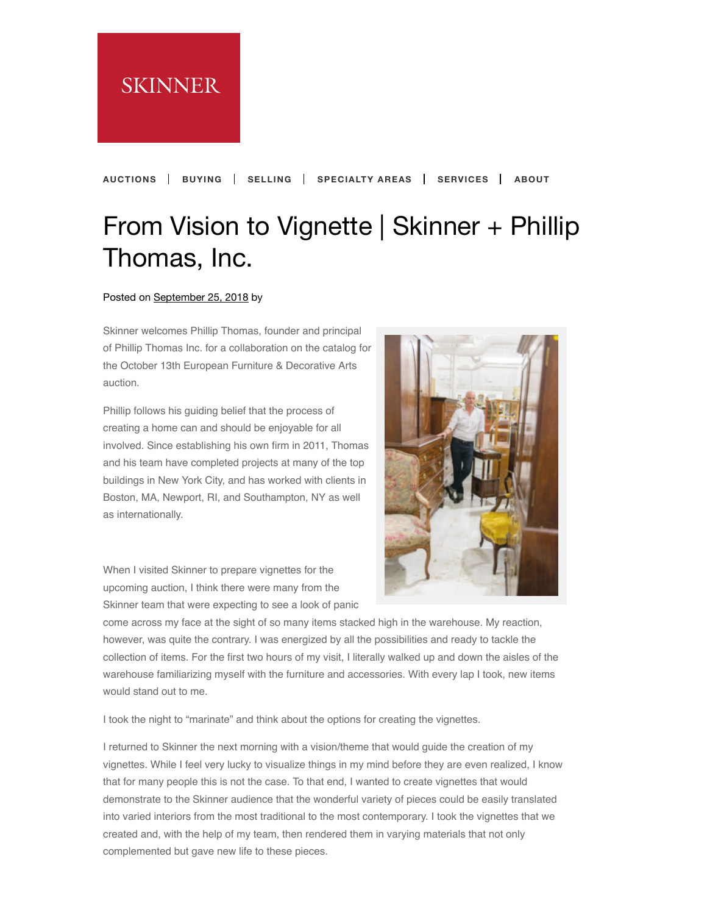

## **AUCTIONS BUYING SELLING SPECIALTY AREAS SERVICES ABOUT**

## From Vision to Vignette | Skinner + P[hillip](https://www.skinnerinc.com/news/blog/from-vision-to-vignette-skinner-phillip-thomas-inc/#) Thomas, Inc.

## Posted on [September 25, 2018](https://www.skinnerinc.com/news/blog/from-vision-to-vignette-skinner-phillip-thomas-inc/) by

[Skinner](https://feeds.feedburner.com/SkinnerBlog) welcomes Phillip Thomas, founder and principal [of Phillip Thom](https://feeds.feedburner.com/CommentsForSkinnerBlog)as Inc. for a collaboration on the catalog for the October 13th European Furniture & Decorative Arts auction.

Phillip follows his guiding belief that the process of creating a home can and should be enjoyable for all involved. Since establishing his own firm in 2011, Thomas and his team have completed projects at many of the top [buildings in Ne](https://www.skinnerinc.com/news/blog/from-vision-to-vignette-skinner-phillip-thomas-inc/)w York City, and has worked with clients in Boston, MA, Newport, RI, and Southampton, NY as well [as internationa](https://www.skinnerinc.com/news/blog/focus-on-europe-skinner-october-13th-auction/)lly.

[When I visited](https://www.skinnerinc.com/news/blog/first-tuesday-october-2-marlborough/) Skinner to prepare vignettes for the upcoming auction, I think there were many from the [Skinner team t](https://www.skinnerinc.com/news/blog/incorporating-antiques-through-the-eye-of-an-interior-designer/)hat were expecting to see a look of panic



come across my face at the sight of so many items stacked high in the warehouse. My reaction, however, was quite the contrary. I was energized by all the possibilities and ready to tackle the [collection of ite](https://www.skinnerinc.com/news/blog/a-beginners-guide-styles-of-jewelry-with-john-colasacco/)ms. For the first two hours of my visit, I literally walked up and down the aisles of the warehouse familiarizing myself with the furniture and accessories. With every lap I took, new items would stand out to me.

I took the night to "marinate" and think about the options for creating the vignettes.

I returned to Skinner the next morning with a vision/theme that would guide the creation of my vignettes. While I feel very lucky to visualize things in my mind before they are even realized, I know that for many people this is not the case. To that end, I wanted to create vignettes that would demonstrate to the Skinner audience that the wonderful variety of pieces could be easily translated into varied interiors from the most traditional to the most contemporary. I took the vignettes that we created and, with the help of my team, then rendered them in varying materials that not only complemented but gave new life to these pieces.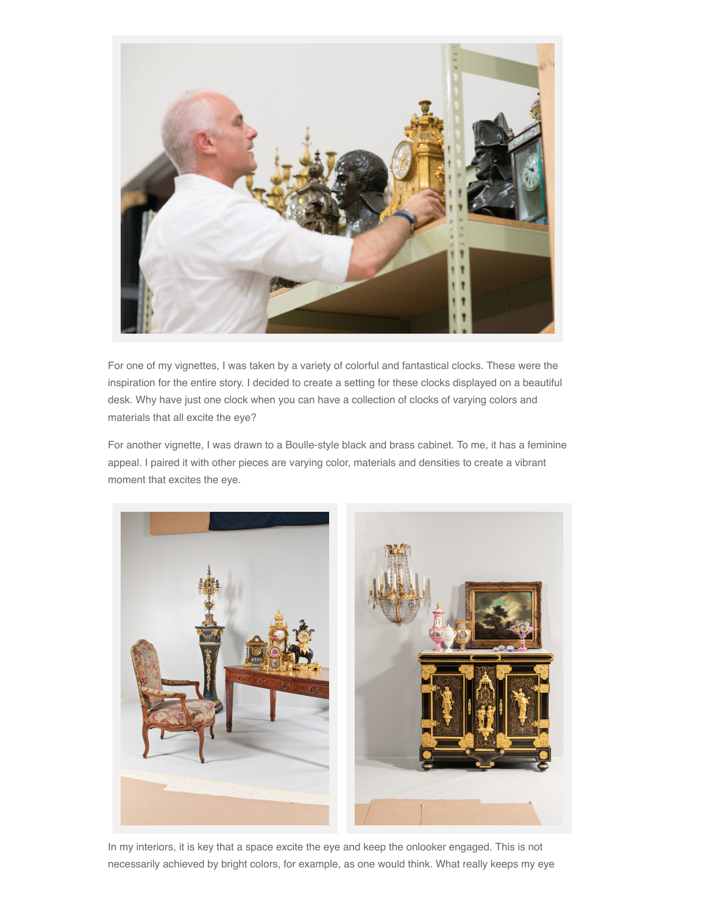

For one of my vignettes, I was taken by a variety of colorful and fantastical clocks. These were the inspiration for the entire story. I decided to create a setting for these clocks displayed on a beautiful desk. Why have just one clock when you can have a collection of clocks of varying colors and materials that all excite the eye?

For another vignette, I was drawn to a Boulle-style black and brass cabinet. To me, it has a feminine appeal. I paired it with other pieces are varying color, materials and densities to create a vibrant moment that excites the eye.



In my interiors, it is key that a space excite the eye and keep the onlooker engaged. This is not necessarily achieved by bright colors, for example, as one would think. What really keeps my eye